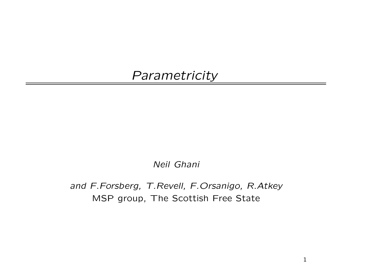## *Parametricity*

*Neil Ghani*

*and F.Forsberg, T.Revell, F.Orsanigo, R.Atkey* MSP group, The Scottish Free State

1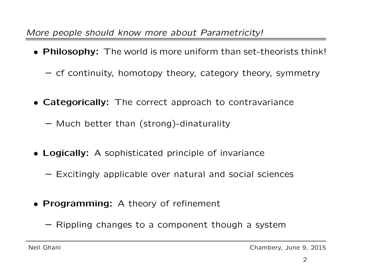*More people should know more about Parametricity!*

- Philosophy: The world is more uniform than set-theorists think!
	- cf continuity, homotopy theory, category theory, symmetry
- Categorically: The correct approach to contravariance
	- Much better than (strong)-dinaturality
- Logically: A sophisticated principle of invariance
	- Excitingly applicable over natural and social sciences
- Programming: A theory of refinement
	- Rippling changes to <sup>a</sup> component though <sup>a</sup> system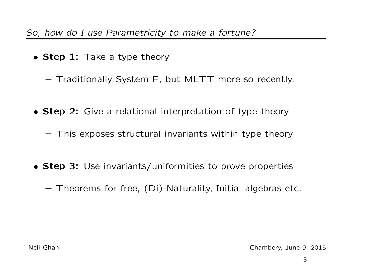- Step 1: Take a type theory
	- Traditionally System F, but MLTT more so recently.
- Step 2: Give a relational interpretation of type theory
	- This exposes structural invariants within type theory
- Step 3: Use invariants/uniformities to prove properties
	- Theorems for free, (Di)-Naturality, Initial algebras etc.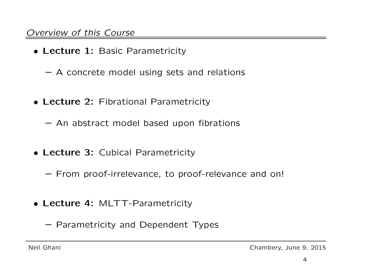## *Overview of this Course*

- Lecture 1: Basic Parametricity
	- A concrete model using sets and relations
- Lecture 2: Fibrational Parametricity
	- An abstract model based upon fibrations
- Lecture 3: Cubical Parametricity
	- From proof-irrelevance, to proof-relevance and on!
- Lecture 4: MLTT-Parametricity
	- Parametricity and Dependent Types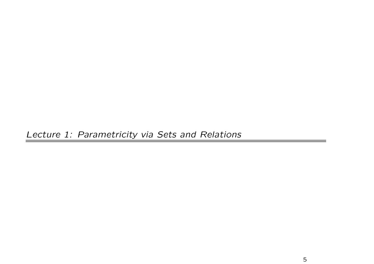*Lecture 1: Parametricity via Sets and Relations*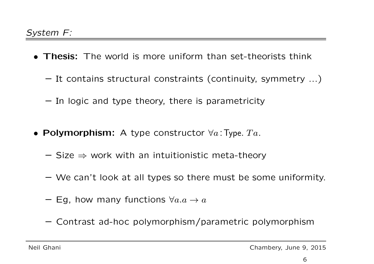- Thesis: The world is more uniform than set-theorists think
	- It contains structural constraints (continuity, symmetry ...)
	- In logic and type theory, there is parametricity
- $\bullet$  Polymorphism: A type constructor  $\forall a$ :Type.  $Ta$ .
	- $-$  Size  $\Rightarrow$  work with an intuitionistic meta-theory
	- We can't look at all types so there must be some uniformity.
	- $-$  Eg, how many functions  $\forall a.a \rightarrow a$
	- Contrast ad-hoc polymorphism/parametric polymorphism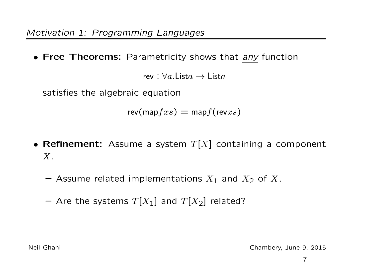• Free Theorems: Parametricity shows that *any* function

rev :  $\forall a. \mathsf{List}{} a \rightarrow \mathsf{List}{} a$ 

satisfies the algebraic equation

 $\mathsf{rev}(\mathsf{map} fxs) = \mathsf{map} f(\mathsf{rev} xs)$ 

- Refinement: Assume a system  $T[X]$  containing a component  $X$ .
	- $-$  Assume related implementations  $X_1$  and  $X_2$  of  $X$ .
	- $-$  Are the systems  $T[X_1]$  and  $T[X_2]$  related?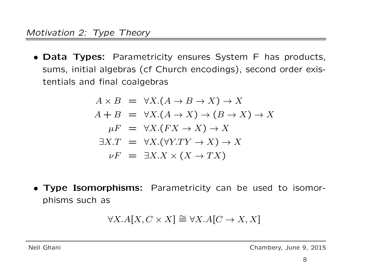• Data Types: Parametricity ensures System F has products, sums, initial algebras (cf Church encodings), second order existentials and final coalgebras

$$
A \times B = \forall X.(A \rightarrow B \rightarrow X) \rightarrow X
$$
  
\n
$$
A + B = \forall X.(A \rightarrow X) \rightarrow (B \rightarrow X) \rightarrow X
$$
  
\n
$$
\mu F = \forall X.(FX \rightarrow X) \rightarrow X
$$
  
\n
$$
\exists X.T = \forall X.(\forall Y.TY \rightarrow X) \rightarrow X
$$
  
\n
$$
\nu F = \exists X.X \times (X \rightarrow TX)
$$

• Type Isomorphisms: Parametricity can be used to isomorphisms such as

$$
\forall X. A[X, C \times X] \cong \forall X. A[C \to X, X]
$$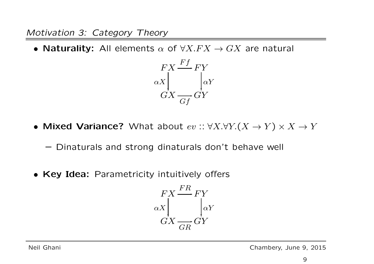*Motivation 3: Category Theory*

• Naturality: All elements  $\alpha$  of  $\forall X.FX \rightarrow GX$  are natural



- Mixed Variance? What about  $ev::\forall X.\forall Y.(X \rightarrow Y) \times X \rightarrow Y$ 
	- Dinaturals and strong dinaturals don't behave well
- Key Idea: Parametricity intuitively offers

$$
\begin{array}{c}\nFX \xrightarrow{FR} FY \\
\alpha X \downarrow \\
GX \xrightarrow{GR} GY\n\end{array}
$$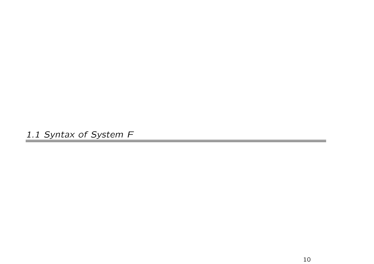*1.1 Syntax of System F*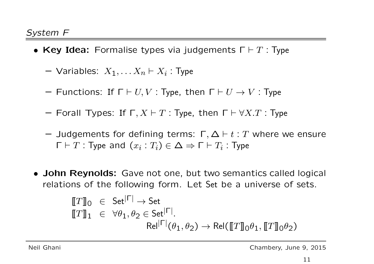- Key Idea: Formalise types via judgements  $\Gamma \vdash T$ : Type
	- $-$  Variables:  $X_1, \ldots X_n \vdash X_i$ : Type
	- $-$  Functions: If  $\Gamma \vdash U, V$  : Type, then  $\Gamma \vdash U \to V$  : Type
	- $-$  Forall Types: If  $\Gamma, X \vdash T$  : Type, then  $\Gamma \vdash \forall X . T$  : Type
	- $-$  Judgements for defining terms: Γ,Δ  $\vdash t : T$  where we ensure  $\Gamma\vdash T$ : Type and  $(x_i:T_i)\in \Delta \Rightarrow \Gamma\vdash T_i$ : Type
- John Reynolds: Gave not one, but two semantics called logical relations of the following form. Let Set be <sup>a</sup> universe of sets.

$$
\begin{array}{ll}\n\llbracket T \rrbracket_0 & \in & \mathsf{Set}^{|\Gamma|} \to \mathsf{Set} \\
\llbracket T \rrbracket_1 & \in & \forall \theta_1, \theta_2 \in \mathsf{Set}^{|\Gamma|}.\n\end{array}
$$
\n
$$
\text{Rel}^{|\Gamma|}(\theta_1, \theta_2) \to \text{Rel}(\llbracket T \rrbracket_0 \theta_1, \llbracket T \rrbracket_0 \theta_2)
$$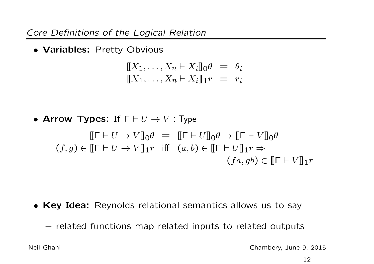*Core Definitions of the Logical Relation*

• Variables: Pretty Obvious

$$
\llbracket X_1, \dots, X_n \vdash X_i \rrbracket_0 \theta = \theta_i
$$
  

$$
\llbracket X_1, \dots, X_n \vdash X_i \rrbracket_1 r = r_i
$$

• Arrow Types: If  $\Gamma \vdash U \to V$ : Type

$$
\llbracket \Gamma \vdash U \to V \rrbracket_0 \theta = \llbracket \Gamma \vdash U \rrbracket_0 \theta \to \llbracket \Gamma \vdash V \rrbracket_0 \theta
$$
  
(f, g)  $\in \llbracket \Gamma \vdash U \to V \rrbracket_1 r$  iff  $(a, b) \in \llbracket \Gamma \vdash U \rrbracket_1 r \Rightarrow$   
 $(fa, gb) \in \llbracket \Gamma \vdash V \rrbracket_1 r$ 

- Key Idea: Reynolds relational semantics allows us to say
	- related functions map related inputs to related outputs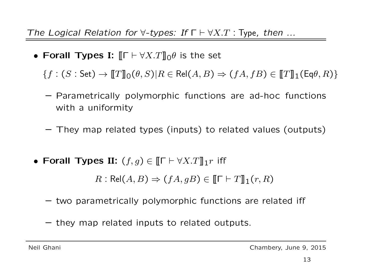*The Logical Relation for* ∀*-types: If* Γ ⊢ ∀X.T : Type*, then ...*

• Forall Types I:  $||\mathbf{F} \vdash \forall X \cdot T||_0 \theta$  is the set

 ${f : (S : \mathsf{Set}) \to \llbracket T \rrbracket_0 (\theta, S) | R \in \mathsf{Rel}(A, B) \Rightarrow (fA, fB) \in \llbracket T \rrbracket_1(\mathsf{Eq}(\theta, R))$ 

- Parametrically polymorphic functions are ad-hoc functions with a uniformity
- They map related types (inputs) to related values (outputs)
- Forall Types II:  $(f,g) \in \llbracket \Gamma \vdash \forall X . T \rrbracket_1 r$  iff

 $R: \mathsf{Rel}(A, B) \Rightarrow (fA, qB) \in \llbracket \mathsf{I} \vdash T \rrbracket_1(r, R)$ 

- two parametrically polymorphic functions are related iff
- they map related inputs to related outputs.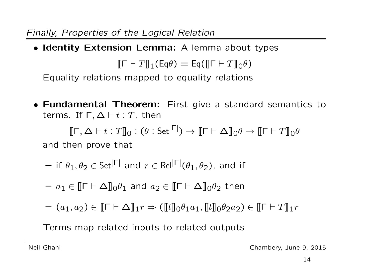*Finally, Properties of the Logical Relation*

• Identity Extension Lemma: A lemma about types

 $[\![\Gamma \vdash T]\!]_1(\mathsf{Eq}\theta) = \mathsf{Eq}([\![\Gamma \vdash T]\!]_0\theta)$ 

Equality relations mapped to equality relations

• Fundamental Theorem: First give <sup>a</sup> standard semantics to terms. If  $Γ, Δ ⊢ t : T$ , then

 $[\![\Gamma, \Delta \vdash t : T]\!]_0 : (\theta : \mathsf{Set}^{|\Gamma|}) \to [\![\Gamma \vdash \Delta]\!]_0 \theta \to [\![\Gamma \vdash T]\!]_0 \theta$ 

and then prove that

— if 
$$
\theta_1, \theta_2 \in \text{Set}^{|\Gamma|}
$$
 and  $r \in \text{Rel}^{|\Gamma|}(\theta_1, \theta_2)$ , and if

- $a_1\in \llbracket \mathsf{\Gamma\vdash\Delta}\rrbracket_0 \theta_1$  and  $a_2\in \llbracket \mathsf{\Gamma\vdash\Delta}\rrbracket_0 \theta_2$  then
- $(a_1, a_2) \in [\![\Gamma \vdash \Delta]\!]_1 r \Rightarrow ([\![t]\!]_0 \theta_1 a_1, [\![t]\!]_0 \theta_2 a_2) \in [\![\Gamma \vdash T]\!]_1 r$

Terms map related inputs to related outputs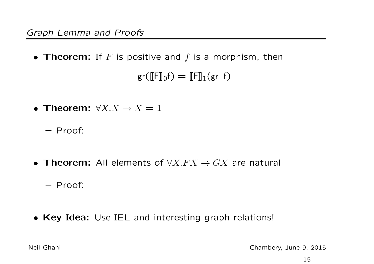$\bullet$  Theorem: If  $F$  is positive and  $f$  is a morphism, then

 $\mathsf{gr}(\llbracket \mathsf{F} \rrbracket_0 \mathsf{f}) = \llbracket \mathsf{F} \rrbracket_1 (\mathsf{gr}^{\phantom{1}} \mathsf{f})$ 

- Theorem:  $\forall X.X \rightarrow X = 1$ 
	- Proof:
- Theorem: All elements of  $\forall X.FX \rightarrow GX$  are natural
	- Proof:
- Key Idea: Use IEL and interesting graph relations!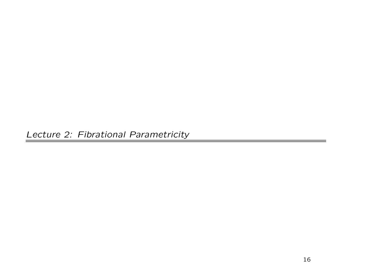*Lecture 2: Fibrational Parametricity*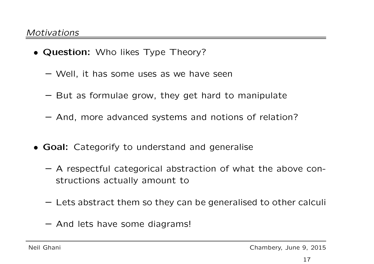- Question: Who likes Type Theory?
	- Well, it has some uses as we have seen
	- But as formulae grow, they get hard to manipulate
	- And, more advanced systems and notions of relation?
- Goal: Categorify to understand and generalise
	- A respectful categorical abstraction of what the above constructions actually amount to
	- Lets abstract them so they can be generalised to other calculi
	- And lets have some diagrams!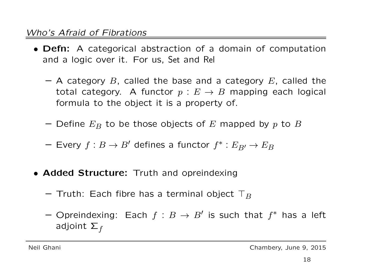## *Who's Afraid of Fibrations*

- Defn: A categorical abstraction of <sup>a</sup> domain of computation and <sup>a</sup> logic over it. For us, Set and Rel
	- $-$  A category  $B$ , called the base and a category  $E$ , called the total category. A functor  $p: E \to B$  mapping each logical formula to the object it is <sup>a</sup> property of.
	- $-$  Define  $E_B$  to be those objects of  $E$  mapped by  $p$  to  $B$
	- Every  $f : B \to B'$  defines a functor  $f^* : E_{B'} \to E_B$
- Added Structure: Truth and opreindexing
	- $-$  Truth: Each fibre has a terminal object  $\top_B$
	- Opreindexing: Each  $f : B \to B'$  is such that  $f^*$  has a left adjoint  $\overline{\Sigma}_f$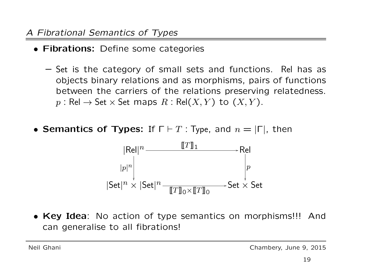- Fibrations: Define some categories
	- Set is the category of small sets and functions. Rel has as objects binary relations and as morphisms, pairs of functions between the carriers of the relations preserving relatedness.  $p: \mathsf{Rel} \to \mathsf{Set} \times \mathsf{Set}$  maps  $R: \mathsf{Rel}(X,Y)$  to  $(X,Y).$
- Semantics of Types: If  $\Gamma \vdash T$  : Type, and  $n = |\Gamma|$ , then



• Key Idea: No action of type semantics on morphisms!!! And can generalise to all fibrations!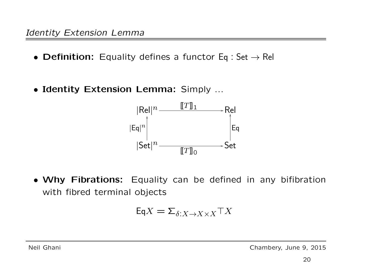- Definition: Equality defines a functor  $Eq: Set \rightarrow Rel$
- Identity Extension Lemma: Simply ...



• Why Fibrations: Equality can be defined in any bifibration with fibred terminal objects

$$
\mathsf{Eq} X = \Sigma_{\delta:X \to X \times X} \top X
$$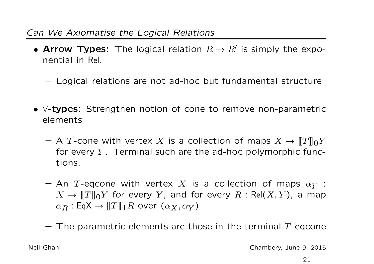## *Can We Axiomatise the Logical Relations*

- Arrow Types: The logical relation  $R \to R'$  is simply the exponential in Rel.
	- Logical relations are not ad-hoc but fundamental structure
- ∀-types: Strengthen notion of cone to remove non-parametric elements
	- $-$  A T-cone with vertex X is a collection of maps  $X \to \llbracket T \rrbracket_0 Y$ for every  $Y$ . Terminal such are the ad-hoc polymorphic functions.
	- $-$  An T-eqcone with vertex  $X$  is a collection of maps  $\alpha_Y$  :  $X \to \llbracket T \rrbracket_0 Y$  for every  $Y$ , and for every  $R$  : Rel $(X,Y)$ , a map  $\alpha_R : \mathsf{Eq} \mathsf{X} \to \llbracket T \rrbracket_1 R$  over  $(\alpha_X, \alpha_Y)$
	- $-$  The parametric elements are those in the terminal  $T\text{-eqcone}$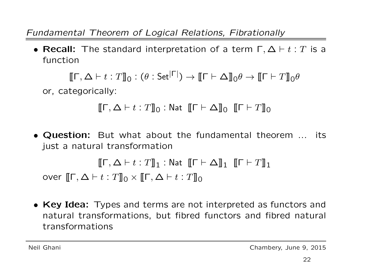*Fundamental Theorem of Logical Relations, Fibrationally*

• Recall: The standard interpretation of a term  $\Gamma, \Delta \vdash t : T$  is a function

 $[\![\Gamma, \Delta \vdash t : T]\!]_0 : (\theta : \mathsf{Set}^{|\Gamma|}) \to [\![\Gamma \vdash \Delta]\!]_0 \theta \to [\![\Gamma \vdash T]\!]_0 \theta$ 

or, categorically:

$$
[\![\Gamma,\Delta\vdash t:T]\!]_0:\mathsf{Nat}\ [\![\Gamma\vdash\Delta]\!]_0\ [\![\Gamma\vdash T]\!]_0
$$

• Question: But what about the fundamental theorem ... its just a natural transformation

$$
[\![\Gamma,\Delta\vdash t:T]\!]_1:\mathsf{Nat}\ [\![\Gamma\vdash\Delta]\!]_1\ [\![\Gamma\vdash T]\!]_1
$$

over  $[\![\mathsf{\Gamma}, \Delta \vdash t : T]\!]_0 \times [\![\mathsf{\Gamma}, \Delta \vdash t : T]\!]_0$ 

• Key Idea: Types and terms are not interpreted as functors and natural transformations, but fibred functors and fibred natural transformations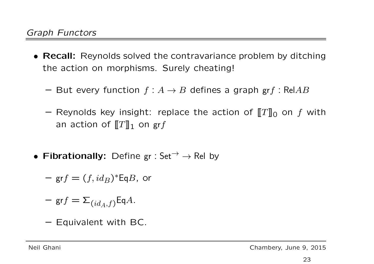- Recall: Reynolds solved the contravariance problem by ditching the action on morphisms. Surely cheating!
	- But every function  $f: A \rightarrow B$  defines a graph  $grf: RelAB$
	- $-$  Reynolds key insight: replace the action of  $\llbracket T \rrbracket_0$  on  $f$  with an action of  $\llbracket T \rrbracket_1$  on  $\operatorname{\sf gr} f$
- Fibrationally: Define gr : Set  $\rightarrow$   $\rightarrow$  Rel by
	- $\mathsf{p} = (f, id_B)^* \mathsf{Eq} B$ , or
	- $-$  gr $f = \mathsf{\Sigma}_{(id_A, f)}$ Eq $A$ .
	- Equivalent with BC.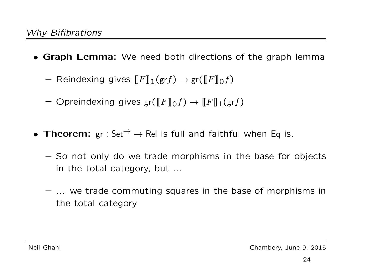- Graph Lemma: We need both directions of the graph lemma
	- Reindexing gives  $\llbracket F \rrbracket_1(\text{gr} f) \rightarrow \text{gr}(\llbracket F \rrbracket_0 f)$
	- Opreindexing gives  $gr([F]_0f) \to [F]_1(grf)$
- Theorem:  $gr : Set^{-} \rightarrow Rel$  is full and faithful when Eq is.
	- So not only do we trade morphisms in the base for objects in the total category, but ...
	- ... we trade commuting squares in the base of morphisms in the total category